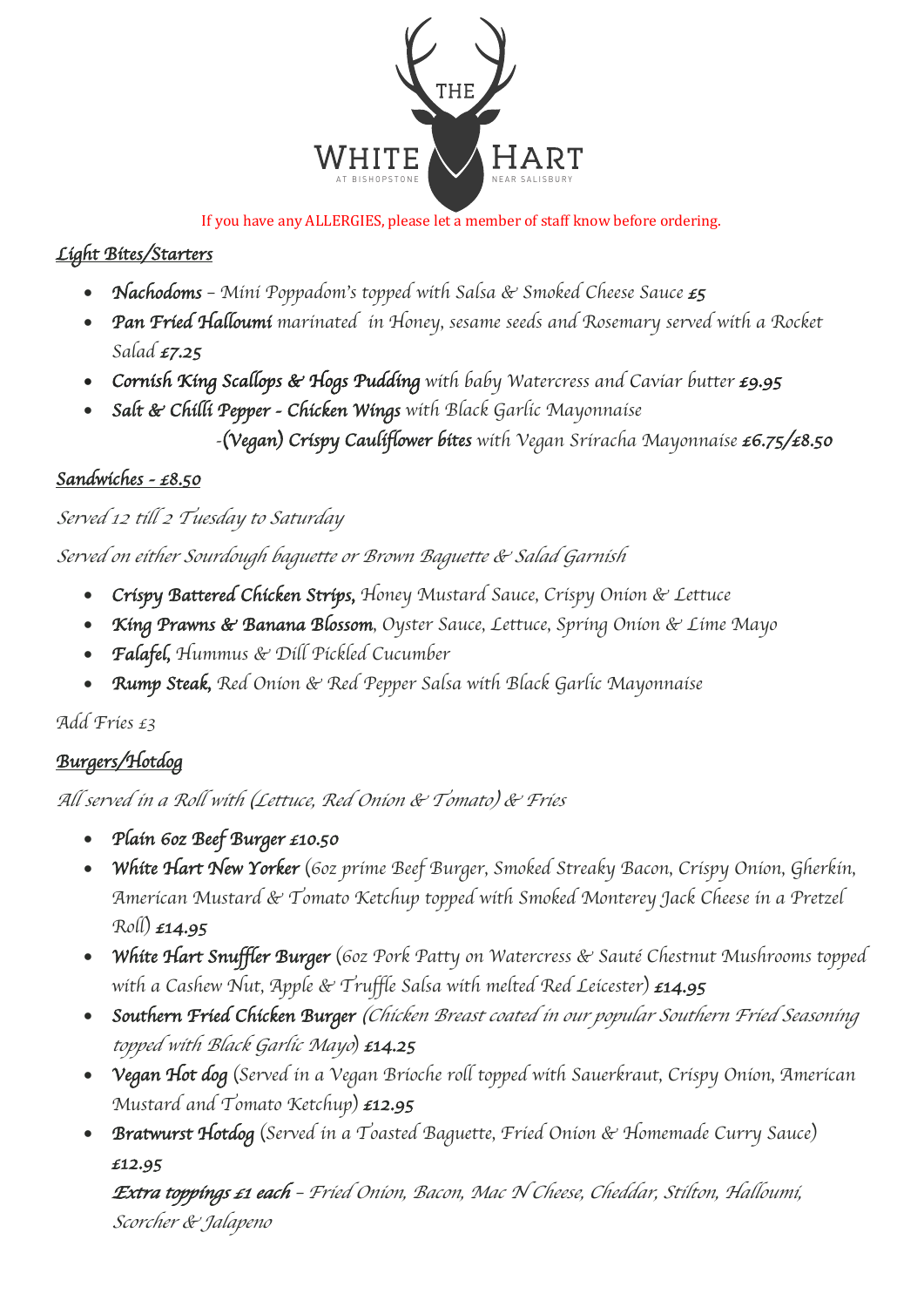

#### If you have any ALLERGIES, please let a member of staff know before ordering.

# *Light Bites/Starters*

- *Nachodoms Mini Poppadom*'*s topped with Salsa & Smoked Cheese Sauce £5*
- *Pan Fried Halloumi marinated in Honey, sesame seeds and Rosemary served with a Rocket Salad £7.25*
- *Cornish King Scallops & Hogs Pudding with baby Watercress and Caviar butter £9.95*
- *Salt & Chilli Pepper Chicken Wings with Black Garlic Mayonnaise -*(*Vegan*) *Crispy Cauliflower bites with Vegan Sriracha Mayonnaise £6.75/£8.50*

## *Sandwiches - £8.50*

## *Served 12 till 2 Tuesday to Saturday*

*Served on either Sourdough baguette or Brown Baguette & Salad Garnish*

- *Crispy Battered Chicken Strips, Honey Mustard Sauce, Crispy Onion & Lettuce*
- *King Prawns & Banana Blossom, Oyster Sauce, Lettuce, Spring Onion & Lime Mayo*
- *Falafel, Hummus & Dill Pickled Cucumber*
- *Rump Steak, Red Onion & Red Pepper Salsa with Black Garlic Mayonnaise*

*Add Fries £3*

## *Burgers/Hotdog*

*All served in a Roll with* (*Lettuce, Red Onion & Tomato*) *& Fries*

- *Plain 6oz Beef Burger £10.50*
- *White Hart New Yorker* (*6oz prime Beef Burger, Smoked Streaky Bacon, Crispy Onion, Gherkin, American Mustard & Tomato Ketchup topped with Smoked Monterey Jack Cheese in a Pretzel Roll*) *£14.95*
- *White Hart Snuffler Burger* (*6oz Pork Patty on Watercress & Saut*é *Chestnut Mushrooms topped with a Cashew Nut, Apple & Truffle Salsa with melted Red Leicester*) *£14.95*
- *Southern Fried Chicken Burger* (*Chicken Breast coated in our popular Southern Fried Seasoning topped with Black Garlic Mayo*) *£14.25*
- *Vegan Hot dog* (*Served in a Vegan Brioche roll topped with Sauerkraut, Crispy Onion, American Mustard and Tomato Ketchup*) *£12.95*
- *Bratwurst Hotdog* (*Served in a Toasted Baguette, Fried Onion & Homemade Curry Sauce*) *£12.95*

*Extra toppings £1 each* – *Fried Onion, Bacon, Mac N Cheese, Cheddar, Stilton, Halloumi, Scorcher & Jalapeno*